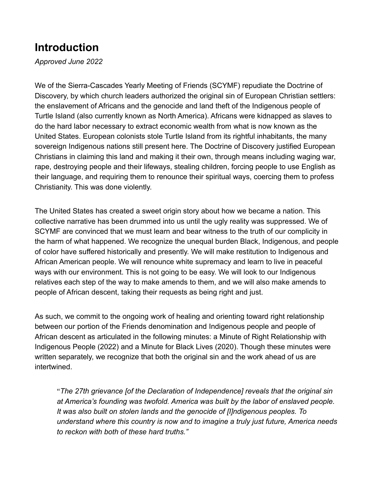### **Introduction**

*Approved June 2022*

We of the Sierra-Cascades Yearly Meeting of Friends (SCYMF) repudiate the Doctrine of Discovery, by which church leaders authorized the original sin of European Christian settlers: the enslavement of Africans and the genocide and land theft of the Indigenous people of Turtle Island (also currently known as North America). Africans were kidnapped as slaves to do the hard labor necessary to extract economic wealth from what is now known as the United States. European colonists stole Turtle Island from its rightful inhabitants, the many sovereign Indigenous nations still present here. The Doctrine of Discovery justified European Christians in claiming this land and making it their own, through means including waging war, rape, destroying people and their lifeways, stealing children, forcing people to use English as their language, and requiring them to renounce their spiritual ways, coercing them to profess Christianity. This was done violently.

The United States has created a sweet origin story about how we became a nation. This collective narrative has been drummed into us until the ugly reality was suppressed. We of SCYMF are convinced that we must learn and bear witness to the truth of our complicity in the harm of what happened. We recognize the unequal burden Black, Indigenous, and people of color have suffered historically and presently. We will make restitution to Indigenous and African American people. We will renounce white supremacy and learn to live in peaceful ways with our environment. This is not going to be easy. We will look to our Indigenous relatives each step of the way to make amends to them, and we will also make amends to people of African descent, taking their requests as being right and just.

As such, we commit to the ongoing work of healing and orienting toward right relationship between our portion of the Friends denomination and Indigenous people and people of African descent as articulated in the following minutes: a Minute of Right Relationship with Indigenous People (2022) and a Minute for Black Lives (2020). Though these minutes were written separately, we recognize that both the original sin and the work ahead of us are intertwined.

"*The 27th grievance [of the Declaration of Independence] reveals that the original sin at America's founding was twofold. America was built by the labor of enslaved people. It was also built on stolen lands and the genocide of [I]ndigenous peoples. To understand where this country is now and to imagine a truly just future, America needs to reckon with both of these hard truths."*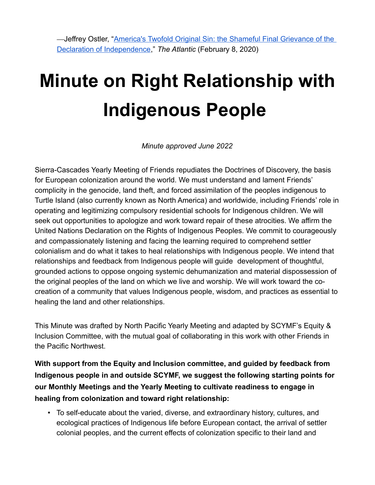—Jeffrey Ostler, "[America's Twofold Original Sin: the Shameful Final Grievance of the](https://www.theatlantic.com/ideas/archive/2020/02/americas-twofold-original-sin/606163/)  [Declaration of Independence](https://www.theatlantic.com/ideas/archive/2020/02/americas-twofold-original-sin/606163/)," *The Atlantic* (February 8, 2020)

# **Minute on Right Relationship with Indigenous People**

*Minute approved June 2022*

Sierra-Cascades Yearly Meeting of Friends repudiates the Doctrines of Discovery, the basis for European colonization around the world. We must understand and lament Friends' complicity in the genocide, land theft, and forced assimilation of the peoples indigenous to Turtle Island (also currently known as North America) and worldwide, including Friends' role in operating and legitimizing compulsory residential schools for Indigenous children. We will seek out opportunities to apologize and work toward repair of these atrocities. We affirm the United Nations Declaration on the Rights of Indigenous Peoples. We commit to courageously and compassionately listening and facing the learning required to comprehend settler colonialism and do what it takes to heal relationships with Indigenous people. We intend that relationships and feedback from Indigenous people will guide development of thoughtful, grounded actions to oppose ongoing systemic dehumanization and material dispossession of the original peoples of the land on which we live and worship. We will work toward the cocreation of a community that values Indigenous people, wisdom, and practices as essential to healing the land and other relationships.

This Minute was drafted by North Pacific Yearly Meeting and adapted by SCYMF's Equity & Inclusion Committee, with the mutual goal of collaborating in this work with other Friends in the Pacific Northwest.

**With support from the Equity and Inclusion committee, and guided by feedback from Indigenous people in and outside SCYMF, we suggest the following starting points for our Monthly Meetings and the Yearly Meeting to cultivate readiness to engage in healing from colonization and toward right relationship:**

• To self-educate about the varied, diverse, and extraordinary history, cultures, and ecological practices of Indigenous life before European contact, the arrival of settler colonial peoples, and the current effects of colonization specific to their land and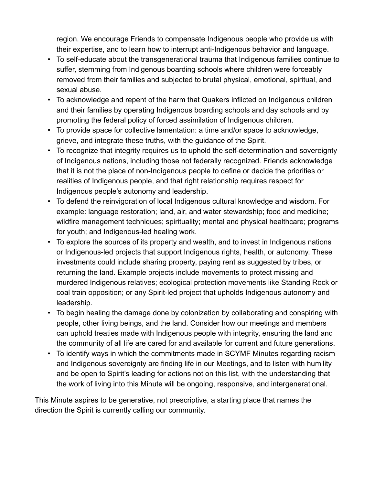region. We encourage Friends to compensate Indigenous people who provide us with their expertise, and to learn how to interrupt anti-Indigenous behavior and language.

- To self-educate about the transgenerational trauma that Indigenous families continue to suffer, stemming from Indigenous boarding schools where children were forceably removed from their families and subjected to brutal physical, emotional, spiritual, and sexual abuse.
- To acknowledge and repent of the harm that Quakers inflicted on Indigenous children and their families by operating Indigenous boarding schools and day schools and by promoting the federal policy of forced assimilation of Indigenous children.
- To provide space for collective lamentation: a time and/or space to acknowledge, grieve, and integrate these truths, with the guidance of the Spirit.
- To recognize that integrity requires us to uphold the self-determination and sovereignty of Indigenous nations, including those not federally recognized. Friends acknowledge that it is not the place of non-Indigenous people to define or decide the priorities or realities of Indigenous people, and that right relationship requires respect for Indigenous people's autonomy and leadership.
- To defend the reinvigoration of local Indigenous cultural knowledge and wisdom. For example: language restoration; land, air, and water stewardship; food and medicine; wildfire management techniques; spirituality; mental and physical healthcare; programs for youth; and Indigenous-led healing work.
- To explore the sources of its property and wealth, and to invest in Indigenous nations or Indigenous-led projects that support Indigenous rights, health, or autonomy. These investments could include sharing property, paying rent as suggested by tribes, or returning the land. Example projects include movements to protect missing and murdered Indigenous relatives; ecological protection movements like Standing Rock or coal train opposition; or any Spirit-led project that upholds Indigenous autonomy and leadership.
- To begin healing the damage done by colonization by collaborating and conspiring with people, other living beings, and the land. Consider how our meetings and members can uphold treaties made with Indigenous people with integrity, ensuring the land and the community of all life are cared for and available for current and future generations.
- To identify ways in which the commitments made in SCYMF Minutes regarding racism and Indigenous sovereignty are finding life in our Meetings, and to listen with humility and be open to Spirit's leading for actions not on this list, with the understanding that the work of living into this Minute will be ongoing, responsive, and intergenerational.

This Minute aspires to be generative, not prescriptive, a starting place that names the direction the Spirit is currently calling our community.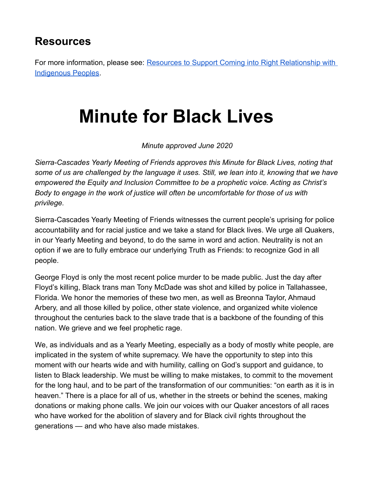#### **Resources**

For more information, please see: Resources to Support Coming into Right Relationship with [Indigenous Peoples](https://docs.google.com/document/d/1X7xcpw42QrMRW5RqXg7SqM7-OpjivZNiTbZl__ctUe8/edit?usp=sharing).

## **Minute for Black Lives**

*Minute approved June 2020*

*Sierra-Cascades Yearly Meeting of Friends approves this Minute for Black Lives, noting that some of us are challenged by the language it uses. Still, we lean into it, knowing that we have empowered the Equity and Inclusion Committee to be a prophetic voice. Acting as Christ's Body to engage in the work of justice will often be uncomfortable for those of us with privilege.*

Sierra-Cascades Yearly Meeting of Friends witnesses the current people's uprising for police accountability and for racial justice and we take a stand for Black lives. We urge all Quakers, in our Yearly Meeting and beyond, to do the same in word and action. Neutrality is not an option if we are to fully embrace our underlying Truth as Friends: to recognize God in all people.

George Floyd is only the most recent police murder to be made public. Just the day after Floyd's killing, Black trans man Tony McDade was shot and killed by police in Tallahassee, Florida. We honor the memories of these two men, as well as Breonna Taylor, Ahmaud Arbery, and all those killed by police, other state violence, and organized white violence throughout the centuries back to the slave trade that is a backbone of the founding of this nation. We grieve and we feel prophetic rage.

We, as individuals and as a Yearly Meeting, especially as a body of mostly white people, are implicated in the system of white supremacy. We have the opportunity to step into this moment with our hearts wide and with humility, calling on God's support and guidance, to listen to Black leadership. We must be willing to make mistakes, to commit to the movement for the long haul, and to be part of the transformation of our communities: "on earth as it is in heaven." There is a place for all of us, whether in the streets or behind the scenes, making donations or making phone calls. We join our voices with our Quaker ancestors of all races who have worked for the abolition of slavery and for Black civil rights throughout the generations — and who have also made mistakes.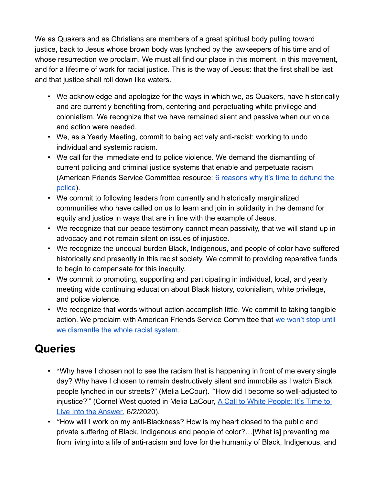We as Quakers and as Christians are members of a great spiritual body pulling toward justice, back to Jesus whose brown body was lynched by the lawkeepers of his time and of whose resurrection we proclaim. We must all find our place in this moment, in this movement, and for a lifetime of work for racial justice. This is the way of Jesus: that the first shall be last and that justice shall roll down like waters.

- We acknowledge and apologize for the ways in which we, as Quakers, have historically and are currently benefiting from, centering and perpetuating white privilege and colonialism. We recognize that we have remained silent and passive when our voice and action were needed.
- We, as a Yearly Meeting, commit to being actively anti-racist: working to undo individual and systemic racism.
- We call for the immediate end to police violence. We demand the dismantling of current policing and criminal justice systems that enable and perpetuate racism (American Friends Service Committee resource: 6 reasons why it's time to defund the [police\)](https://www.afsc.org/blogs/news-and-commentary/6-reasons-why-its-time-to-defund-police).
- We commit to following leaders from currently and historically marginalized communities who have called on us to learn and join in solidarity in the demand for equity and justice in ways that are in line with the example of Jesus.
- We recognize that our peace testimony cannot mean passivity, that we will stand up in advocacy and not remain silent on issues of injustice.
- We recognize the unequal burden Black, Indigenous, and people of color have suffered historically and presently in this racist society. We commit to providing reparative funds to begin to compensate for this inequity.
- We commit to promoting, supporting and participating in individual, local, and yearly meeting wide continuing education about Black history, colonialism, white privilege, and police violence.
- We recognize that words without action accomplish little. We commit to taking tangible action. We proclaim with American Friends Service Committee that [we won't stop until](https://www.afsc.org/newsroom/we-wont-stop-until-we-dismantle-whole-racist-system)  [we dismantle the whole racist system](https://www.afsc.org/newsroom/we-wont-stop-until-we-dismantle-whole-racist-system).

### **Queries**

- "Why have I chosen not to see the racism that is happening in front of me every single day? Why have I chosen to remain destructively silent and immobile as I watch Black people lynched in our streets?" (Melia LeCour). "'How did I become so well-adjusted to injustice?" (Cornel West quoted in Melia LaCour, A Call to White People: It's Time to [Live Into the Answer](https://southseattleemerald.com/2020/06/02/a-call-to-white-people-its-time-to-live-in-the-answer/?fbclid=IwAR1wr9jMV_Gf7MQsLukidCXEZRqhoCPFFYvp44bpJW2DcOMBvIqCje-aQCQ), 6/2/2020).
- "How will I work on my anti-Blackness? How is my heart closed to the public and private suffering of Black, Indigenous and people of color?…[What is] preventing me from living into a life of anti-racism and love for the humanity of Black, Indigenous, and